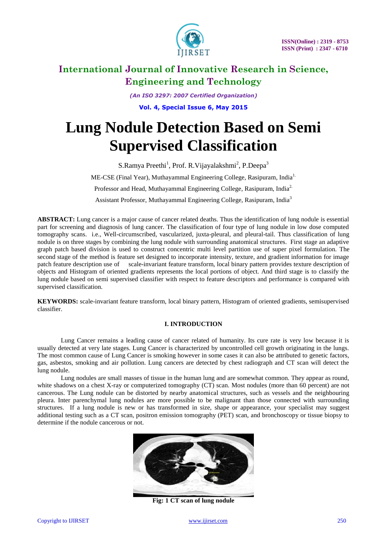

*(An ISO 3297: 2007 Certified Organization)* **Vol. 4, Special Issue 6, May 2015**

# **Lung Nodule Detection Based on Semi Supervised Classification**

S.Ramya Preethi<sup>1</sup>, Prof. R.Vijayalakshmi<sup>2</sup>, P.Deepa<sup>3</sup> ME-CSE (Final Year), Muthayammal Engineering College, Rasipuram, India<sup>1.</sup> Professor and Head, Muthayammal Engineering College, Rasipuram, India<sup>2.</sup> Assistant Professor, Muthayammal Engineering College, Rasipuram, India<sup>3</sup>

**ABSTRACT:** Lung cancer is a major cause of cancer related deaths. Thus the identification of lung nodule is essential part for screening and diagnosis of lung cancer. The classification of four type of lung nodule in low dose computed tomography scans. i.e., Well-circumscribed, vascularized, juxta-pleural, and pleural-tail. Thus classification of lung nodule is on three stages by combining the lung nodule with surrounding anatomical structures. First stage an adaptive graph patch based division is used to construct concentric multi level partition use of super pixel formulation. The second stage of the method is feature set designed to incorporate intensity, texture, and gradient information for image patch feature description use of scale-invariant feature transform, local binary pattern provides texture description of objects and Histogram of oriented gradients represents the local portions of object. And third stage is to classify the lung nodule based on semi supervised classifier with respect to feature descriptors and performance is compared with supervised classification.

**KEYWORDS:** scale-invariant feature transform, local binary pattern, Histogram of oriented gradients, semisupervised classifier.

### **I. INTRODUCTION**

Lung Cancer remains a leading cause of cancer related of humanity. Its cure rate is very low because it is usually detected at very late stages. Lung Cancer is characterized by uncontrolled cell growth originating in the lungs. The most common cause of Lung Cancer is smoking however in some cases it can also be attributed to genetic factors, gas, asbestos, smoking and air pollution. Lung cancers are detected by chest radiograph and CT scan will detect the lung nodule.

Lung nodules are small masses of tissue in the human lung and are somewhat common. They appear as round, white shadows on a chest X-ray or computerized tomography (CT) scan. Most nodules (more than 60 percent) are not cancerous. The Lung nodule can be distorted by nearby anatomical structures, such as vessels and the neighbouring pleura. Inter parenchymal lung nodules are more possible to be malignant than those connected with surrounding structures. If a lung nodule is new or has transformed in size, shape or appearance, your specialist may suggest additional testing such as a CT scan, positron emission tomography (PET) scan, and bronchoscopy or tissue biopsy to determine if the nodule cancerous or not.



**Fig: 1 CT scan of lung nodule**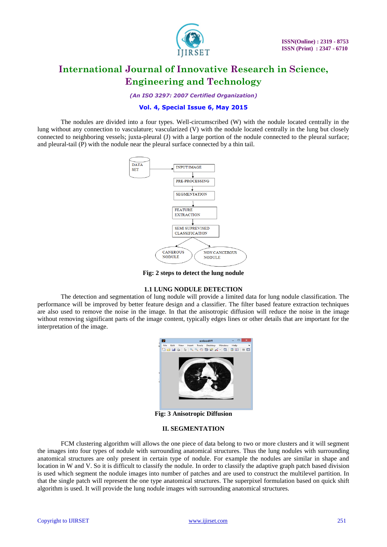

*(An ISO 3297: 2007 Certified Organization)*

### **Vol. 4, Special Issue 6, May 2015**

The nodules are divided into a four types. Well-circumscribed (W) with the nodule located centrally in the lung without any connection to vasculature; vascularized (V) with the nodule located centrally in the lung but closely connected to neighboring vessels; juxta-pleural (J) with a large portion of the nodule connected to the pleural surface; and pleural-tail (P) with the nodule near the pleural surface connected by a thin tail.



**Fig: 2 steps to detect the lung nodule**

### **1.1 LUNG NODULE DETECTION**

The detection and segmentation of lung nodule will provide a limited data for lung nodule classification. The performance will be improved by better feature design and a classifier. The filter based feature extraction techniques are also used to remove the noise in the image. In that the anisotropic diffusion will reduce the noise in the image without removing significant parts of the image content, typically edges lines or other details that are important for the interpretation of the image.



**Fig: 3 Anisotropic Diffusion**

#### **II. SEGMENTATION**

FCM clustering algorithm will allows the one piece of data belong to two or more clusters and it will segment the images into four types of nodule with surrounding anatomical structures. Thus the lung nodules with surrounding anatomical structures are only present in certain type of nodule. For example the nodules are similar in shape and location in W and V. So it is difficult to classify the nodule. In order to classify the adaptive graph patch based division is used which segment the nodule images into number of patches and are used to construct the multilevel partition. In that the single patch will represent the one type anatomical structures. The superpixel formulation based on quick shift algorithm is used. It will provide the lung nodule images with surrounding anatomical structures.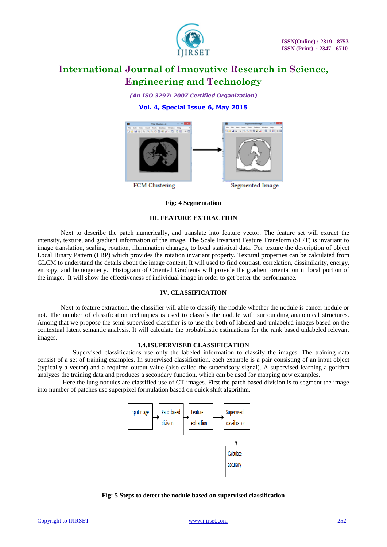

*(An ISO 3297: 2007 Certified Organization)*

# **Vol. 4, Special Issue 6, May 2015**



#### **Fig: 4 Segmentation**

# **III. FEATURE EXTRACTION**

Next to describe the patch numerically, and translate into feature vector. The feature set will extract the intensity, texture, and gradient information of the image. The Scale Invariant Feature Transform (SIFT) is invariant to image translation, scaling, rotation, illumination changes, to local statistical data. For texture the description of object Local Binary Pattern (LBP) which provides the rotation invariant property. Textural properties can be calculated from GLCM to understand the details about the image content. It will used to find contrast, correlation, dissimilarity, energy, entropy, and homogeneity. Histogram of Oriented Gradients will provide the gradient orientation in local portion of the image. It will show the effectiveness of individual image in order to get better the performance.

## **IV. CLASSIFICATION**

Next to feature extraction, the classifier will able to classify the nodule whether the nodule is cancer nodule or not. The number of classification techniques is used to classify the nodule with surrounding anatomical structures. Among that we propose the semi supervised classifier is to use the both of labeled and unlabeled images based on the contextual latent semantic analysis. It will calculate the probabilistic estimations for the rank based unlabeled relevant images.

### **1.4.1SUPERVISED CLASSIFICATION**

Supervised classifications use only the labeled information to classify the images. The [training data](http://en.wikipedia.org/wiki/Training_set) consist of a set of training examples. In supervised classification, each example is a pair consisting of an input object (typically a vector) and a required output value (also called the supervisory signal). A supervised learning algorithm analyzes the training data and produces a secondary function, which can be used for mapping new examples.

Here the lung nodules are classified use of CT images. First the patch based division is to segment the image into number of patches use superpixel formulation based on quick shift algorithm.



#### **Fig: 5 Steps to detect the nodule based on supervised classification**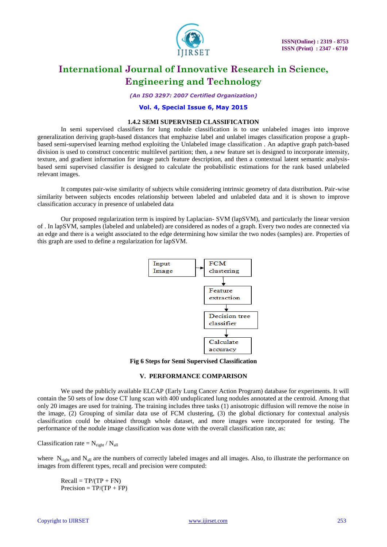

*(An ISO 3297: 2007 Certified Organization)*

#### **Vol. 4, Special Issue 6, May 2015**

#### **1.4.2 SEMI SUPERVISED CLASSIFICATION**

In semi supervised classifiers for lung nodule classification is to use unlabeled images into improve generalization deriving graph-based distances that emphazise label and unlabel images classification propose a graphbased semi-supervised learning method exploiting the Unlabeled image classification . An adaptive graph patch-based division is used to construct concentric multilevel partition; then, a new feature set is designed to incorporate intensity, texture, and gradient information for image patch feature description, and then a contextual latent semantic analysisbased semi supervised classifier is designed to calculate the probabilistic estimations for the rank based unlabeled relevant images.

It computes pair-wise similarity of subjects while considering intrinsic geometry of data distribution. Pair-wise similarity between subjects encodes relationship between labeled and unlabeled data and it is shown to improve classification accuracy in presence of unlabeled data

Our proposed regularization term is inspired by Laplacian- SVM (lapSVM), and particularly the linear version of . In lapSVM, samples (labeled and unlabeled) are considered as nodes of a graph. Every two nodes are connected via an edge and there is a weight associated to the edge determining how similar the two nodes (samples) are. Properties of this graph are used to define a regularization for lapSVM.



**Fig 6 Steps for Semi Supervised Classification**

### **V. PERFORMANCE COMPARISON**

We used the publicly available ELCAP (Early Lung Cancer Action Program) database for experiments. It will contain the 50 sets of low dose CT lung scan with 400 unduplicated lung nodules annotated at the centroid. Among that only 20 images are used for training. The training includes three tasks (1) anisotropic diffusion will remove the noise in the image, (2) Grouping of similar data use of FCM clustering, (3) the global dictionary for contextual analysis classification could be obtained through whole dataset, and more images were incorporated for testing. The performance of the nodule image classification was done with the overall classification rate, as:

Classification rate  $= N_{right} / N_{all}$ 

where  $N_{right}$  and  $N_{all}$  are the numbers of correctly labeled images and all images. Also, to illustrate the performance on images from different types, recall and precision were computed:

 $Recall = TP/(TP + FN)$  $Precision = TP/(TP + FP)$